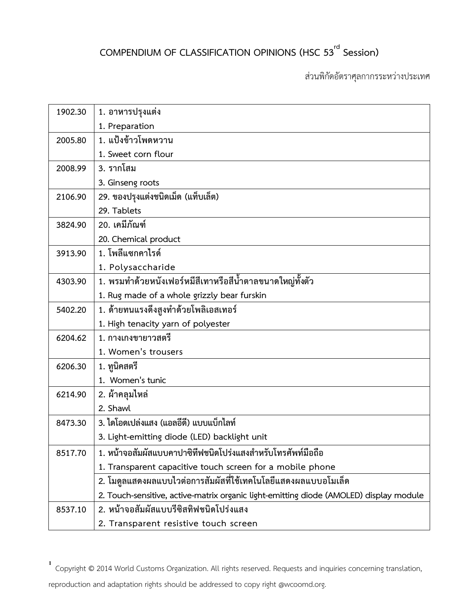## **COMPENDIUM OF CLASSIFICATION OPINIONS (HSC 53 rd Session)**

ส่วนพิกัดอัตราศุลกากรระหว่างประเทศ

| 1902.30 | 1. อาหารปรุงแต่ง                                                                       |
|---------|----------------------------------------------------------------------------------------|
|         | 1. Preparation                                                                         |
| 2005.80 | 1. แป้งข้าวโพดหวาน                                                                     |
|         | 1. Sweet corn flour                                                                    |
| 2008.99 | 3. รากโสม                                                                              |
|         | 3. Ginseng roots                                                                       |
| 2106.90 | 29. ของปรุงแต่งชนิดเม็ด (แท็บเล็ต)                                                     |
|         | 29. Tablets                                                                            |
| 3824.90 | 20. เคมีภัณฑ์                                                                          |
|         | 20. Chemical product                                                                   |
| 3913.90 | 1. โพลีแซกคาไรด์                                                                       |
|         | 1. Polysaccharide                                                                      |
| 4303.90 | 1. พรมทำด้วยหนังเฟอร์หมีสีเทาหรือสีน้ำตาลขนาดใหญ่ทั้งตัว                               |
|         | 1. Rug made of a whole grizzly bear furskin                                            |
| 5402.20 | 1. ด้ายทนแรงดึงสูงทำด้วยโพลิเอสเทอร์                                                   |
|         | 1. High tenacity yarn of polyester                                                     |
| 6204.62 | 1. กางเกงขายาวสตรี                                                                     |
|         | 1. Women's trousers                                                                    |
| 6206.30 | 1. ทูนิคสตรี                                                                           |
|         | 1. Women's tunic                                                                       |
| 6214.90 | 2. ผ้าคลุมไหล่                                                                         |
|         | 2. Shawl                                                                               |
| 8473.30 | 3. ไดโอดเปล่งแสง (แอลอีดี) แบบแบ็กไลท์                                                 |
|         | 3. Light-emitting diode (LED) backlight unit                                           |
| 8517.70 | 1. หน้าจอสัมผัสแบบคาปาซิทีฟชนิดโปร่งแสงสำหรับโทรศัพท์มือถือ                            |
|         | 1. Transparent capacitive touch screen for a mobile phone                              |
|         | 2. โมดูลแสดงผลแบบไวต่อการสัมผัสที่ใช้เทคโนโลยีแสดงผลแบบอโมเล็ด                         |
|         | 2. Touch-sensitive, active-matrix organic light-emitting diode (AMOLED) display module |
| 8537.10 | 2. หน้าจอสัมผัสแบบรีซิสทิฟชนิดโปร่งแสง                                                 |
|         | 2. Transparent resistive touch screen                                                  |

**1** Copyright © 2014 World Customs Organization. All rights reserved. Requests and inquiries concerning translation,

reproduction and adaptation rights should be addressed to copy right @wcoomd.org.